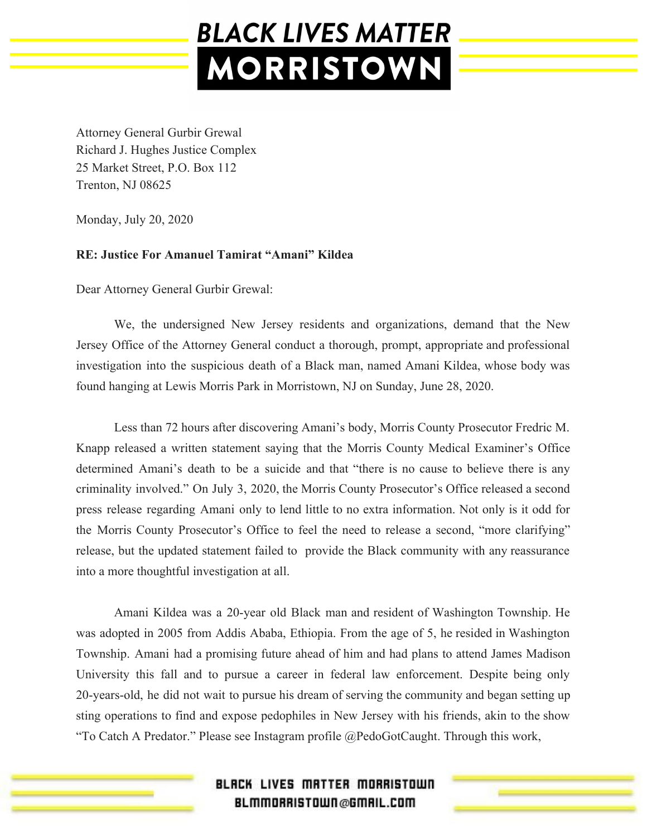Attorney General Gurbir Grewal Richard J. Hughes Justice Complex 25 Market Street, P.O. Box 112 Trenton, NJ 08625

Monday, July 20, 2020

#### **RE: Justice For Amanuel Tamirat "Amani" Kildea**

Dear Attorney General Gurbir Grewal:

We, the undersigned New Jersey residents and organizations, demand that the New Jersey Office of the Attorney General conduct a thorough, prompt, appropriate and professional investigation into the suspicious death of a Black man, named Amani Kildea, whose body was found hanging at Lewis Morris Park in Morristown, NJ on Sunday, June 28, 2020.

Less than 72 hours after discovering Amani's body, Morris County Prosecutor Fredric M. Knapp released a written statement saying that the Morris County Medical Examiner's Office determined Amani's death to be a suicide and that "there is no cause to believe there is any criminality involved." On July 3, 2020, the Morris County Prosecutor's Office released a second press release regarding Amani only to lend little to no extra information. Not only is it odd for the Morris County Prosecutor's Office to feel the need to release a second, "more clarifying" release, but the updated statement failed to provide the Black community with any reassurance into a more thoughtful investigation at all.

Amani Kildea was a 20-year old Black man and resident of Washington Township. He was adopted in 2005 from Addis Ababa, Ethiopia. From the age of 5, he resided in Washington Township. Amani had a promising future ahead of him and had plans to attend James Madison University this fall and to pursue a career in federal law enforcement. Despite being only 20-years-old, he did not wait to pursue his dream of serving the community and began setting up sting operations to find and expose pedophiles in New Jersey with his friends, akin to the show "To Catch A Predator." Please see Instagram profile @PedoGotCaught. Through this work,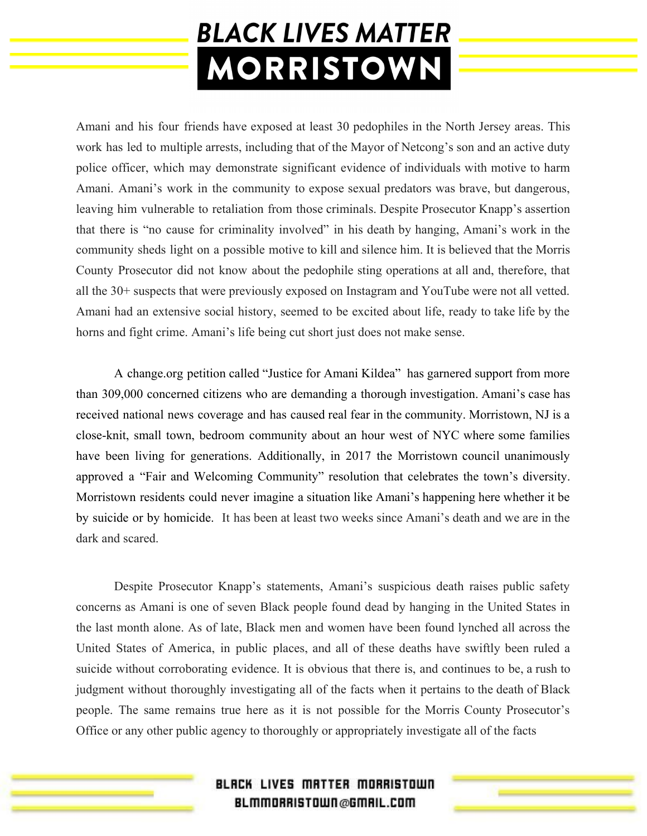Amani and his four friends have exposed at least 30 pedophiles in the North Jersey areas. This work has led to multiple arrests, including that of the Mayor of Netcong's son and an active duty police officer, which may demonstrate significant evidence of individuals with motive to harm Amani. Amani's work in the community to expose sexual predators was brave, but dangerous, leaving him vulnerable to retaliation from those criminals. Despite Prosecutor Knapp's assertion that there is "no cause for criminality involved" in his death by hanging, Amani's work in the community sheds light on a possible motive to kill and silence him. It is believed that the Morris County Prosecutor did not know about the pedophile sting operations at all and, therefore, that all the 30+ suspects that were previously exposed on Instagram and YouTube were not all vetted. Amani had an extensive social history, seemed to be excited about life, ready to take life by the horns and fight crime. Amani's life being cut short just does not make sense.

A change.org petition called "Justice for Amani Kildea" has garnered support from more than 309,000 concerned citizens who are demanding a thorough investigation. Amani's case has received national news coverage and has caused real fear in the community. Morristown, NJ is a close-knit, small town, bedroom community about an hour west of NYC where some families have been living for generations. Additionally, in 2017 the Morristown council unanimously approved a "Fair and Welcoming Community" resolution that celebrates the town's diversity. Morristown residents could never imagine a situation like Amani's happening here whether it be by suicide or by homicide. It has been at least two weeks since Amani's death and we are in the dark and scared.

Despite Prosecutor Knapp's statements, Amani's suspicious death raises public safety concerns as Amani is one of seven Black people found dead by hanging in the United States in the last month alone. As of late, Black men and women have been found lynched all across the United States of America, in public places, and all of these deaths have swiftly been ruled a suicide without corroborating evidence. It is obvious that there is, and continues to be, a rush to judgment without thoroughly investigating all of the facts when it pertains to the death of Black people. The same remains true here as it is not possible for the Morris County Prosecutor's Office or any other public agency to thoroughly or appropriately investigate all of the facts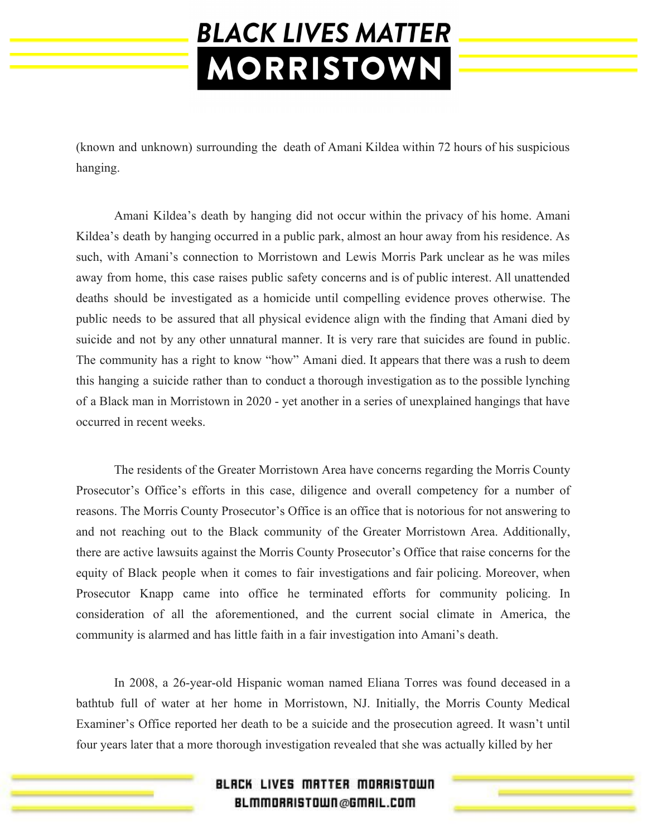(known and unknown) surrounding the death of Amani Kildea within 72 hours of his suspicious hanging.

Amani Kildea's death by hanging did not occur within the privacy of his home. Amani Kildea's death by hanging occurred in a public park, almost an hour away from his residence. As such, with Amani's connection to Morristown and Lewis Morris Park unclear as he was miles away from home, this case raises public safety concerns and is of public interest. All unattended deaths should be investigated as a homicide until compelling evidence proves otherwise. The public needs to be assured that all physical evidence align with the finding that Amani died by suicide and not by any other unnatural manner. It is very rare that suicides are found in public. The community has a right to know "how" Amani died. It appears that there was a rush to deem this hanging a suicide rather than to conduct a thorough investigation as to the possible lynching of a Black man in Morristown in 2020 - yet another in a series of unexplained hangings that have occurred in recent weeks.

The residents of the Greater Morristown Area have concerns regarding the Morris County Prosecutor's Office's efforts in this case, diligence and overall competency for a number of reasons. The Morris County Prosecutor's Office is an office that is notorious for not answering to and not reaching out to the Black community of the Greater Morristown Area. Additionally, there are active lawsuits against the Morris County Prosecutor's Office that raise concerns for the equity of Black people when it comes to fair investigations and fair policing. Moreover, when Prosecutor Knapp came into office he terminated efforts for community policing. In consideration of all the aforementioned, and the current social climate in America, the community is alarmed and has little faith in a fair investigation into Amani's death.

In 2008, a 26-year-old Hispanic woman named Eliana Torres was found deceased in a bathtub full of water at her home in Morristown, NJ. Initially, the Morris County Medical Examiner's Office reported her death to be a suicide and the prosecution agreed. It wasn't until four years later that a more thorough investigation revealed that she was actually killed by her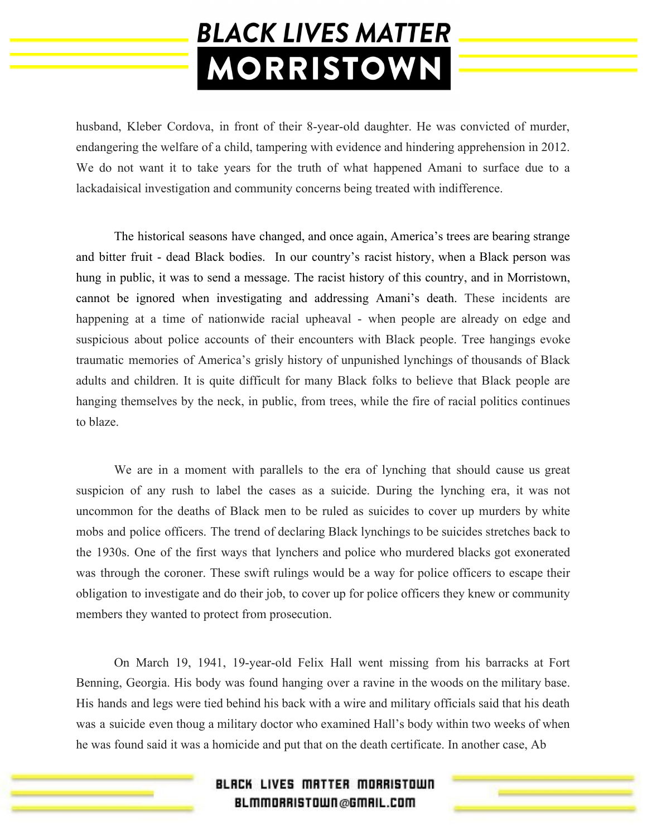husband, Kleber Cordova, in front of their 8-year-old daughter. He was convicted of murder, endangering the welfare of a child, tampering with evidence and hindering apprehension in 2012. We do not want it to take years for the truth of what happened Amani to surface due to a lackadaisical investigation and community concerns being treated with indifference.

The historical seasons have changed, and once again, America's trees are bearing strange and bitter fruit - dead Black bodies. In our country's racist history, when a Black person was hung in public, it was to send a message. The racist history of this country, and in Morristown, cannot be ignored when investigating and addressing Amani's death. These incidents are happening at a time of nationwide racial upheaval - when people are already on edge and suspicious about police accounts of their encounters with Black people. Tree hangings evoke traumatic memories of America's grisly history of unpunished lynchings of thousands of Black adults and children. It is quite difficult for many Black folks to believe that Black people are hanging themselves by the neck, in public, from trees, while the fire of racial politics continues to blaze.

We are in a moment with parallels to the era of lynching that should cause us great suspicion of any rush to label the cases as a suicide. During the lynching era, it was not uncommon for the deaths of Black men to be ruled as suicides to cover up murders by white mobs and police officers. The trend of declaring Black lynchings to be suicides stretches back to the 1930s. One of the first ways that lynchers and police who murdered blacks got exonerated was through the coroner. These swift rulings would be a way for police officers to escape their obligation to investigate and do their job, to cover up for police officers they knew or community members they wanted to protect from prosecution.

On March 19, 1941, 19-year-old Felix Hall went missing from his barracks at Fort Benning, Georgia. His body was found hanging over a ravine in the woods on the military base. His hands and legs were tied behind his back with a wire and military officials said that his death was a suicide even thoug a military doctor who examined Hall's body within two weeks of when he was found said it was a homicide and put that on the death certificate. In another case, Ab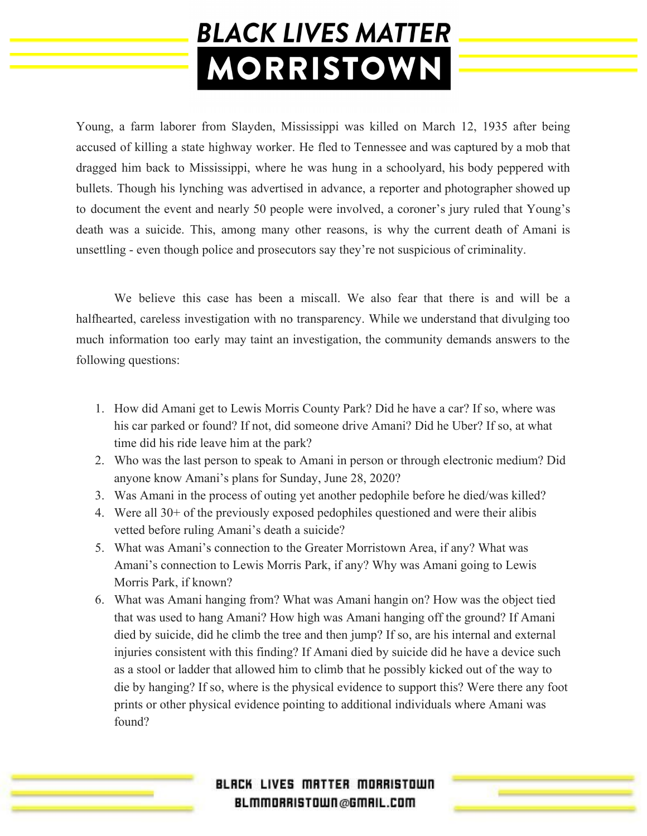Young, a farm laborer from Slayden, Mississippi was killed on March 12, 1935 after being accused of killing a state highway worker. He fled to Tennessee and was captured by a mob that dragged him back to Mississippi, where he was hung in a schoolyard, his body peppered with bullets. Though his lynching was advertised in advance, a reporter and photographer showed up to document the event and nearly 50 people were involved, a coroner's jury ruled that Young's death was a suicide. This, among many other reasons, is why the current death of Amani is unsettling - even though police and prosecutors say they're not suspicious of criminality.

We believe this case has been a miscall. We also fear that there is and will be a halfhearted, careless investigation with no transparency. While we understand that divulging too much information too early may taint an investigation, the community demands answers to the following questions:

- 1. How did Amani get to Lewis Morris County Park? Did he have a car? If so, where was his car parked or found? If not, did someone drive Amani? Did he Uber? If so, at what time did his ride leave him at the park?
- 2. Who was the last person to speak to Amani in person or through electronic medium? Did anyone know Amani's plans for Sunday, June 28, 2020?
- 3. Was Amani in the process of outing yet another pedophile before he died/was killed?
- 4. Were all 30+ of the previously exposed pedophiles questioned and were their alibis vetted before ruling Amani's death a suicide?
- 5. What was Amani's connection to the Greater Morristown Area, if any? What was Amani's connection to Lewis Morris Park, if any? Why was Amani going to Lewis Morris Park, if known?
- 6. What was Amani hanging from? What was Amani hangin on? How was the object tied that was used to hang Amani? How high was Amani hanging off the ground? If Amani died by suicide, did he climb the tree and then jump? If so, are his internal and external injuries consistent with this finding? If Amani died by suicide did he have a device such as a stool or ladder that allowed him to climb that he possibly kicked out of the way to die by hanging? If so, where is the physical evidence to support this? Were there any foot prints or other physical evidence pointing to additional individuals where Amani was found?